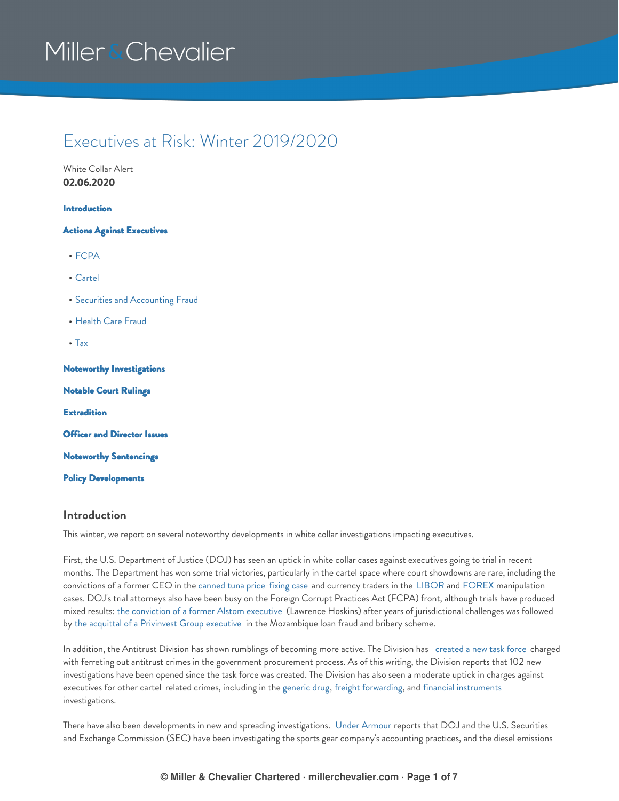## Executives at Risk: Winter 2019/2020

White Collar Alert **02.06.2020**

#### [Introduction](#page-0-0)

#### Actions Against [Executives](#page-1-0)

- [FCPA](#page-1-1)
- [Cartel](#page-2-0)
- **Securities and [Accounting](#page-3-0) Fraud**
- [Health](#page-3-1) Care Fraud
- [Tax](#page-3-2)

Noteworthy [Investigations](#page-3-3)

[Notable](#page-4-0) Court Rulings **[Extradition](#page-4-1)** Officer and [Director](#page-4-2) Issues Noteworthy [Sentencings](#page-5-0)

## Policy [Developments](#page-5-1)

#### <span id="page-0-0"></span>**Introduction**

This winter, we report on several noteworthy developments in white collar investigations impacting executives.

First, the U.S. Department of Justice (DOJ) has seen an uptick in white collar cases against executives going to trial in recent months. The Department has won some trial victories, particularly in the cartel space where court showdowns are rare, including the convictions of a former CEO in the canned tuna [price-fixing](#page-2-1) case and currency traders in the [LIBOR](#page-2-2) and [FOREX](#page-2-3) manipulation cases. DOJ's trial attorneys also have been busy on the Foreign Corrupt Practices Act (FCPA) front, although trials have produced mixed results: the [conviction](#page-1-2) of a former Alstom executive (Lawrence Hoskins) after years of jurisdictional challenges was followed by the acquittal of a [Privinvest](#page-1-3) Group executive in the Mozambique loan fraud and bribery scheme.

In addition, the Antitrust Division has shown rumblings of becoming more active. The Division has [created](#page-5-2) a new task force charged with ferreting out antitrust crimes in the government procurement process. As of this writing, the Division reports that 102 new investigations have been opened since the task force was created. The Division has also seen a moderate uptick in charges against executives for other cartel-related crimes, including in the [generic](#page-2-4) drug, freight [forwarding](#page-3-4), and financial [instruments](#page-2-5) investigations.

There have also been developments in new and spreading investigations. Under [Armour](#page-4-3) reports that DOJ and the U.S. Securities and Exchange Commission (SEC) have been investigating the sports gear company's accounting practices, and the diesel emissions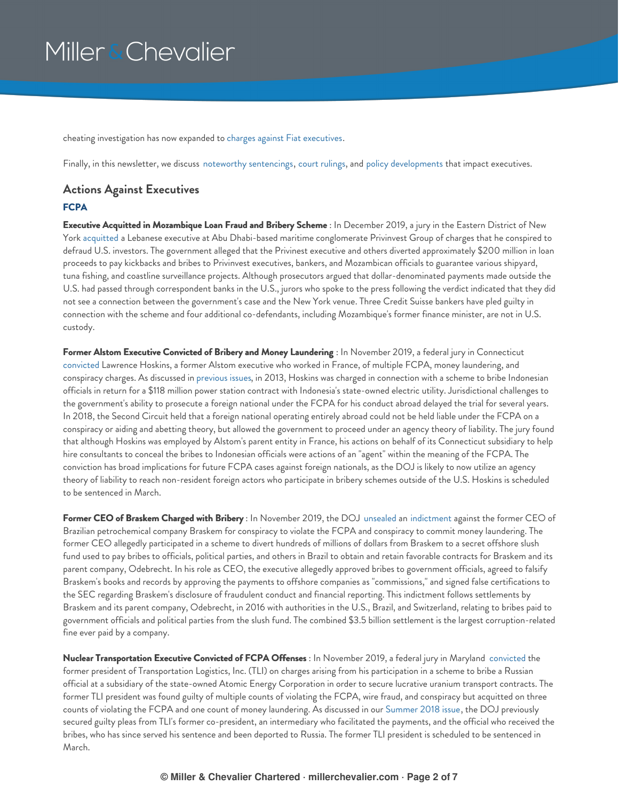cheating investigation has now expanded to charges against Fiat [executives](#page-3-5).

Finally, in this newsletter, we discuss noteworthy [sentencings](#page-5-0), court [rulings](#page-4-0), and policy [developments](#page-5-1) that impact executives.

### <span id="page-1-0"></span>**Actions Against Executives**

#### <span id="page-1-1"></span>**FCPA**

<span id="page-1-3"></span>**Executive Acquitted in Mozambique Loan Fraud and Bribery Scheme** : In December 2019, a jury in the Eastern District of New York [acquitted](https://millerchevalier.com/sites/default/files/resources/ExecsAtRisk/EARWinter2020_Boustani-Acquittal.PDF) a Lebanese executive at Abu Dhabi-based maritime conglomerate Privinvest Group of charges that he conspired to defraud U.S. investors. The government alleged that the Privinest executive and others diverted approximately \$200 million in loan proceeds to pay kickbacks and bribes to Privinvest executives, bankers, and Mozambican officials to guarantee various shipyard, tuna fishing, and coastline surveillance projects. Although prosecutors argued that dollar-denominated payments made outside the U.S. had passed through correspondent banks in the U.S., jurors who spoke to the press following the verdict indicated that they did not see a connection between the government's case and the New York venue. Three Credit Suisse bankers have pled guilty in connection with the scheme and four additional co-defendants, including Mozambique's former finance minister, are not in U.S. custody.

<span id="page-1-2"></span>**Former Alstom Executive Convicted of Bribery and Money Laundering** : In November 2019, a federal jury in Connecticut [convicted](https://www.justice.gov/opa/pr/former-senior-alstom-executive-convicted-trial-violating-foreign-corrupt-practices-act-money) Lawrence Hoskins, a former Alstom executive who worked in France, of multiple FCPA, money laundering, and conspiracy charges. As discussed in [previous](https://www.millerchevalier.com/publication/executives-risk-fall-2018#Extradition) [issues](https://www.millerchevalier.com/publication/executives-risk-navigating-individual-exposure-government-investigations-winter-20162017#NoteworthyAppeals), in 2013, Hoskins was charged in connection with a scheme to bribe Indonesian officials in return for a \$118 million power station contract with Indonesia's state-owned electric utility. Jurisdictional challenges to the government's ability to prosecute a foreign national under the FCPA for his conduct abroad delayed the trial for several years. In 2018, the Second Circuit held that a foreign national operating entirely abroad could not be held liable under the FCPA on a conspiracy or aiding and abetting theory, but allowed the government to proceed under an agency theory of liability. The jury found that although Hoskins was employed by Alstom's parent entity in France, his actions on behalf of its Connecticut subsidiary to help hire consultants to conceal the bribes to Indonesian officials were actions of an "agent" within the meaning of the FCPA. The conviction has broad implications for future FCPA cases against foreign nationals, as the DOJ is likely to now utilize an agency theory of liability to reach non-resident foreign actors who participate in bribery schemes outside of the U.S. Hoskins is scheduled to be sentenced in March.

**Former CEO of Braskem Charged with Bribery** : In November 2019, the DOJ [unsealed](https://www.justice.gov/usao-edny/pr/former-ceo-braskem-indicted-his-role-bribery-scheme) an [indictment](https://www.justice.gov/usao-edny/press-release/file/1218786/download) against the former CEO of Brazilian petrochemical company Braskem for conspiracy to violate the FCPA and conspiracy to commit money laundering. The former CEO allegedly participated in a scheme to divert hundreds of millions of dollars from Braskem to a secret offshore slush fund used to pay bribes to officials, political parties, and others in Brazil to obtain and retain favorable contracts for Braskem and its parent company, Odebrecht. In his role as CEO, the executive allegedly approved bribes to government officials, agreed to falsify Braskem's books and records by approving the payments to offshore companies as "commissions," and signed false certifications to the SEC regarding Braskem's disclosure of fraudulent conduct and financial reporting. This indictment follows settlements by Braskem and its parent company, Odebrecht, in 2016 with authorities in the U.S., Brazil, and Switzerland, relating to bribes paid to government officials and political parties from the slush fund. The combined \$3.5 billion settlement is the largest corruption-related fine ever paid by a company.

**Nuclear Transportation Executive Convicted of FCPA Offenses** : In November 2019, a federal jury in Maryland [convicted](https://www.justice.gov/opa/pr/former-president-transportation-company-found-guilty-violating-foreign-corrupt-practices-act) the former president of Transportation Logistics, Inc. (TLI) on charges arising from his participation in a scheme to bribe a Russian official at a subsidiary of the state-owned Atomic Energy Corporation in order to secure lucrative uranium transport contracts. The former TLI president was found guilty of multiple counts of violating the FCPA, wire fraud, and conspiracy but acquitted on three counts of violating the FCPA and one count of money laundering. As discussed in our [Summer](https://www.millerchevalier.com/publication/executives-risk-summer-2018) 2018 issue, the DOJ previously secured guilty pleas from TLI's former co-president, an intermediary who facilitated the payments, and the official who received the bribes, who has since served his sentence and been deported to Russia. The former TLI president is scheduled to be sentenced in March.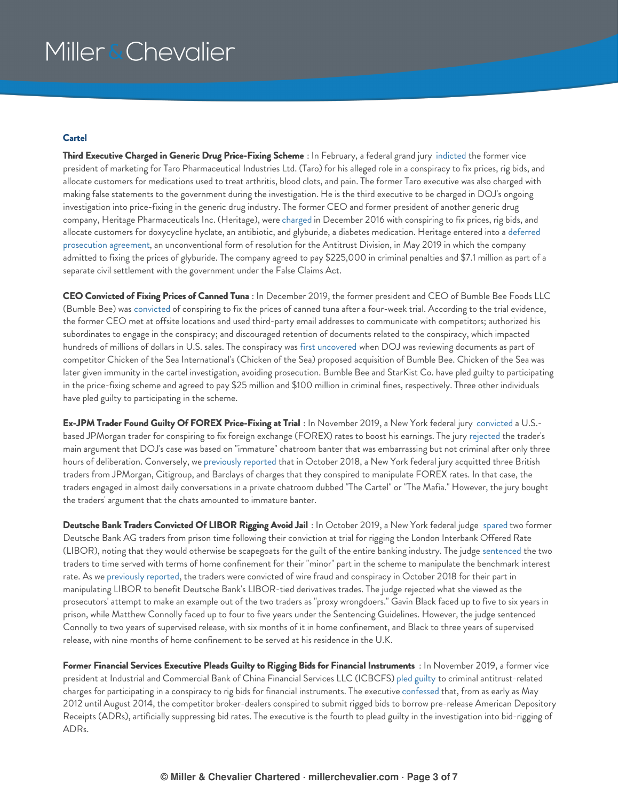#### <span id="page-2-0"></span>**Cartel**

<span id="page-2-4"></span>**Third Executive Charged in Generic Drug Price-Fixing Scheme** : In February, a federal grand jury [indicted](https://www.justice.gov/opa/pr/generic-drug-executive-indicted-antitrust-and-false-statement-charges) the former vice president of marketing for Taro Pharmaceutical Industries Ltd. (Taro) for his alleged role in a conspiracy to fix prices, rig bids, and allocate customers for medications used to treat arthritis, blood clots, and pain. The former Taro executive was also charged with making false statements to the government during the investigation. He is the third executive to be charged in DOJ's ongoing investigation into price-fixing in the generic drug industry. The former CEO and former president of another generic drug company, Heritage Pharmaceuticals Inc. (Heritage), were [charged](https://www.justice.gov/opa/pr/former-top-generic-pharmaceutical-executives-charged-price-fixing-bid-rigging-and-customer) in December 2016 with conspiring to fix prices, rig bids, and allocate customers for doxycycline hyclate, an antibiotic, and glyburide, a diabetes medication. Heritage entered into a deferred prosecution agreement, an [unconventional](https://www.justice.gov/opa/pr/pharmaceutical-company-admits-price-fixing-violation-antitrust-law-resolves-related-false) form of resolution for the Antitrust Division, in May 2019 in which the company admitted to fixing the prices of glyburide. The company agreed to pay \$225,000 in criminal penalties and \$7.1 million as part of a separate civil settlement with the government under the False Claims Act.

<span id="page-2-1"></span>**CEO Convicted of Fixing Prices of Canned Tuna** : In December 2019, the former president and CEO of Bumble Bee Foods LLC (Bumble Bee) was [convicted](https://www.justice.gov/opa/pr/former-ceo-convicted-fixing-prices-canned-tuna) of conspiring to fix the prices of canned tuna after a four-week trial. According to the trial evidence, the former CEO met at offsite locations and used third-party email addresses to communicate with competitors; authorized his subordinates to engage in the conspiracy; and discouraged retention of documents related to the conspiracy, which impacted hundreds of millions of dollars in U.S. sales. The conspiracy was first [uncovered](https://www.jdsupra.com/legalnews/bumble-bee-ceo-convicted-of-82615/) when DOJ was reviewing documents as part of competitor Chicken of the Sea International's (Chicken of the Sea) proposed acquisition of Bumble Bee. Chicken of the Sea was later given immunity in the cartel investigation, avoiding prosecution. Bumble Bee and StarKist Co. have pled guilty to participating in the price-fixing scheme and agreed to pay \$25 million and \$100 million in criminal fines, respectively. Three other individuals have pled guilty to participating in the scheme.

<span id="page-2-3"></span>**Ex-JPM Trader Found Guilty Of FOREX Price-Fixing at Trial** : In November 2019, a New York federal jury [convicted](https://www.justice.gov/opa/pr/former-trader-major-multinational-bank-convicted-price-fixing-and-bid-rigging-fx-market) a U.S. based JPMorgan trader for conspiring to fix foreign exchange (FOREX) rates to boost his earnings. The jury [rejected](https://www.justice.gov/opa/pr/former-trader-major-multinational-bank-convicted-price-fixing-and-bid-rigging-fx-market) the trader's main argument that DOJ's case was based on "immature" chatroom banter that was embarrassing but not criminal after only three hours of deliberation. Conversely, we [previously](https://www.millerchevalier.com/publication/executives-risk-fall-2018) reported that in October 2018, a New York federal jury acquitted three British traders from JPMorgan, Citigroup, and Barclays of charges that they conspired to manipulate FOREX rates. In that case, the traders engaged in almost daily conversations in a private chatroom dubbed "The Cartel" or "The Mafia." However, the jury bought the traders' argument that the chats amounted to immature banter.

<span id="page-2-2"></span>**Deutsche Bank Traders Convicted Of LIBOR Rigging Avoid Jail** : In October 2019, a New York federal judge [spared](https://www.reuters.com/article/us-deutsche-bank-libor-crime/ex-deutsche-bank-traders-avoid-prison-time-for-libor-scheme-idUSKBN1X32EH) two former Deutsche Bank AG traders from prison time following their conviction at trial for rigging the London Interbank Offered Rate (LIBOR), noting that they would otherwise be scapegoats for the guilt of the entire banking industry. The judge [sentenced](https://www.bloomberg.com/news/articles/2019-10-24/last-of-the-libor-riggers-face-judge-in-end-to-uneven-crackdown) the two traders to time served with terms of home confinement for their "minor" part in the scheme to manipulate the benchmark interest rate. As we [previously](https://www.millerchevalier.com/publication/executives-risk-fall-2018) reported, the traders were convicted of wire fraud and conspiracy in October 2018 for their part in manipulating LIBOR to benefit Deutsche Bank's LIBOR-tied derivatives trades. The judge rejected what she viewed as the prosecutors' attempt to make an example out of the two traders as "proxy wrongdoers." Gavin Black faced up to five to six years in prison, while Matthew Connolly faced up to four to five years under the Sentencing Guidelines. However, the judge sentenced Connolly to two years of supervised release, with six months of it in home confinement, and Black to three years of supervised release, with nine months of home confinement to be served at his residence in the U.K.

<span id="page-2-5"></span>**Former Financial Services Executive Pleads Guilty to Rigging Bids for Financial Instruments** : In November 2019, a former vice president at Industrial and Commercial Bank of China Financial Services LLC (ICBCFS) pled [guilty](https://www.justice.gov/opa/pr/former-financial-services-executive-pleads-guilty-rigging-bids-financial-instruments-0) to criminal antitrust-related charges for participating in a conspiracy to rig bids for financial instruments. The executive [confessed](https://www.justice.gov/opa/pr/former-financial-services-executive-pleads-guilty-rigging-bids-financial-instruments-0) that, from as early as May 2012 until August 2014, the competitor broker-dealers conspired to submit rigged bids to borrow pre-release American Depository Receipts (ADRs), artificially suppressing bid rates. The executive is the fourth to plead guilty in the investigation into bid-rigging of ADRs.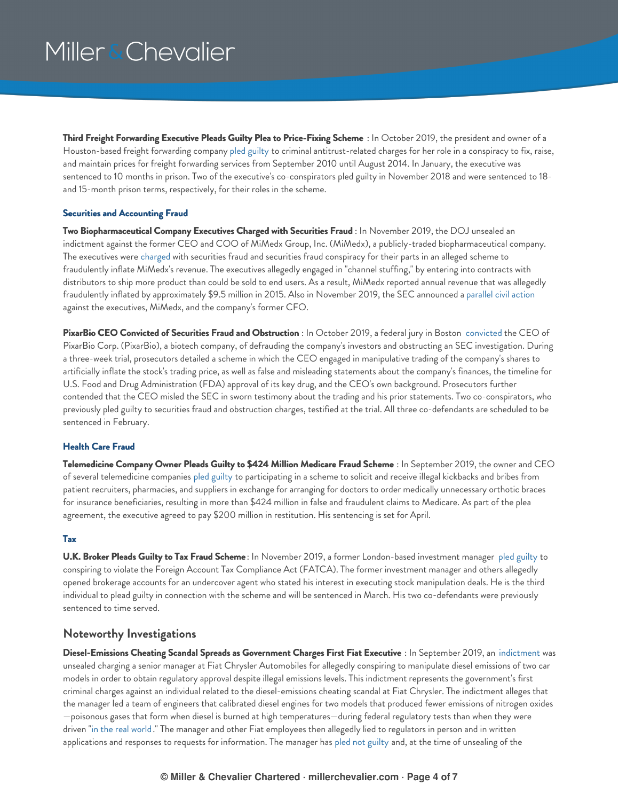<span id="page-3-4"></span>**Third Freight Forwarding Executive Pleads Guilty Plea to Price-Fixing Scheme** : In October 2019, the president and owner of a Houston-based freight forwarding company pled [guilty](https://www.justice.gov/opa/pr/third-freight-transportation-executive-pleads-guilty-antitrust-charge) to criminal antitrust-related charges for her role in a conspiracy to fix, raise, and maintain prices for freight forwarding services from September 2010 until August 2014. In January, the executive was sentenced to 10 months in prison. Two of the executive's co-conspirators pled guilty in November 2018 and were sentenced to 18 and 15-month prison terms, respectively, for their roles in the scheme.

#### <span id="page-3-0"></span>**Securities and Accounting Fraud**

**Two Biopharmaceutical Company Executives Charged with Securities Fraud** : In November 2019, the DOJ unsealed an indictment against the former CEO and COO of MiMedx Group, Inc. (MiMedx), a publicly-traded biopharmaceutical company. The executives were [charged](https://www.justice.gov/usao-sdny/press-release/file/1220531/download) with securities fraud and securities fraud conspiracy for their parts in an alleged scheme to fraudulently inflate MiMedx's revenue. The executives allegedly engaged in "channel stuffing," by entering into contracts with distributors to ship more product than could be sold to end users. As a result, MiMedx reported annual revenue that was allegedly fraudulently inflated by approximately \$9.5 million in 2015. Also in November 2019, the SEC announced a [parallel](https://www.sec.gov/litigation/complaints/2019/comp-pr2019-243.pdf) civil action against the executives, MiMedx, and the company's former CFO.

**PixarBio CEO Convicted of Securities Fraud and Obstruction** : In October 2019, a federal jury in Boston [convicted](https://www.justice.gov/usao-ma/pr/biotech-company-ceo-convicted-securities-fraud-and-obstruction) the CEO of PixarBio Corp. (PixarBio), a biotech company, of defrauding the company's investors and obstructing an SEC investigation. During a three-week trial, prosecutors detailed a scheme in which the CEO engaged in manipulative trading of the company's shares to artificially inflate the stock's trading price, as well as false and misleading statements about the company's finances, the timeline for U.S. Food and Drug Administration (FDA) approval of its key drug, and the CEO's own background. Prosecutors further contended that the CEO misled the SEC in sworn testimony about the trading and his prior statements. Two co-conspirators, who previously pled guilty to securities fraud and obstruction charges, testified at the trial. All three co-defendants are scheduled to be sentenced in February.

#### <span id="page-3-1"></span>**Health Care Fraud**

**Telemedicine Company Owner Pleads Guilty to \$424 Million Medicare Fraud Scheme** : In September 2019, the owner and CEO of several telemedicine companies pled [guilty](https://www.justice.gov/opa/pr/owner-and-chief-executive-officer-telemedicine-company-pleads-guilty-424-million-conspiracy) to participating in a scheme to solicit and receive illegal kickbacks and bribes from patient recruiters, pharmacies, and suppliers in exchange for arranging for doctors to order medically unnecessary orthotic braces for insurance beneficiaries, resulting in more than \$424 million in false and fraudulent claims to Medicare. As part of the plea agreement, the executive agreed to pay \$200 million in restitution. His sentencing is set for April.

#### <span id="page-3-2"></span>**Tax**

**U.K. Broker Pleads Guilty to Tax Fraud Scheme** : In November 2019, a former London-based investment manager pled [guilty](https://www.justice.gov/usao-edny/pr/former-beaufort-securities-investment-manager-pleads-guilty-conspiracies-commit) to conspiring to violate the Foreign Account Tax Compliance Act (FATCA). The former investment manager and others allegedly opened brokerage accounts for an undercover agent who stated his interest in executing stock manipulation deals. He is the third individual to plead guilty in connection with the scheme and will be sentenced in March. His two co-defendants were previously sentenced to time served.

### <span id="page-3-3"></span>**Noteworthy Investigations**

<span id="page-3-5"></span>**Diesel-Emissions Cheating Scandal Spreads as Government Charges First Fiat Executive** : In September 2019, an [indictment](https://millerchevalier.com/sites/default/files/resources/ExecsAtRisk/EARWinter2020_Palma-Indictment.pdf) was unsealed charging a senior manager at Fiat Chrysler Automobiles for allegedly conspiring to manipulate diesel emissions of two car models in order to obtain regulatory approval despite illegal emissions levels. This indictment represents the government's first criminal charges against an individual related to the diesel-emissions cheating scandal at Fiat Chrysler. The indictment alleges that the manager led a team of engineers that calibrated diesel engines for two models that produced fewer emissions of nitrogen oxides —poisonous gases that form when diesel is burned at high temperatures—during federal regulatory tests than when they were driven "in the real [world](https://www.justice.gov/opa/pr/senior-manager-fiat-chrysler-automobiles-charged-connection-conspiracy-mislead-regulators-and)." The manager and other Fiat employees then allegedly lied to regulators in person and in written applications and responses to requests for information. The manager has pled not [guilty](https://www.bloomberg.com/news/articles/2019-09-24/first-u-s-criminal-action-against-fca-over-diesel-emissions) and, at the time of unsealing of the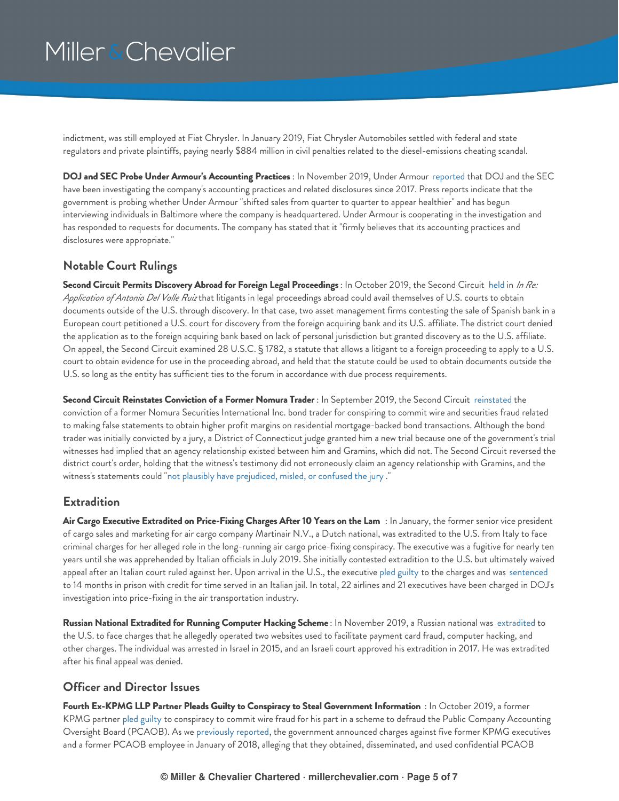indictment, was still employed at Fiat Chrysler. In January 2019, Fiat Chrysler Automobiles settled with federal and state regulators and private plaintiffs, paying nearly \$884 million in civil penalties related to the diesel-emissions cheating scandal.

<span id="page-4-3"></span>**DOJ and SEC Probe Under Armour's Accounting Practices** : In November 2019, Under Armour [reported](https://www.businessinsider.com/under-armour-under-federal-investigation-over-accounting-practices-2019-11) that DOJ and the SEC have been investigating the company's accounting practices and related disclosures since 2017. Press reports indicate that the government is probing whether Under Armour "shifted sales from quarter to quarter to appear healthier" and has begun interviewing individuals in Baltimore where the company is headquartered. Under Armour is cooperating in the investigation and has responded to requests for documents. The company has stated that it "firmly believes that its accounting practices and disclosures were appropriate."

### <span id="page-4-0"></span>**Notable Court Rulings**

**Second Circuit Permits Discovery Abroad for Foreign Legal Proceedings** : In October 2019, the Second Circuit [held](https://millerchevalier.com/sites/default/files/resources/ExecsAtRisk/EARWinter2020_In-Re-Application-of-Antonio-Del-Valle-Ruiz.pdf) in *In Re: Application of Antonio Del Valle Ruiz* that litigants in legal proceedings abroad could avail themselves of U.S. courts to obtain documents outside of the U.S. through discovery. In that case, two asset management firms contesting the sale of Spanish bank in a European court petitioned a U.S. court for discovery from the foreign acquiring bank and its U.S. affiliate. The district court denied the application as to the foreign acquiring bank based on lack of personal jurisdiction but granted discovery as to the U.S. affiliate. On appeal, the Second Circuit examined 28 U.S.C. § 1782, a statute that allows a litigant to a foreign proceeding to apply to a U.S. court to obtain evidence for use in the proceeding abroad, and held that the statute could be used to obtain documents outside the U.S. so long as the entity has sufficient ties to the forum in accordance with due process requirements.

**Second Circuit Reinstates Conviction of a Former Nomura Trader** : In September 2019, the Second Circuit [reinstated](https://millerchevalier.com/sites/default/files/resources/ExecsAtRisk/EARWinter2020_USA-v-Gramins.pdf) the conviction of a former Nomura Securities International Inc. bond trader for conspiring to commit wire and securities fraud related to making false statements to obtain higher profit margins on residential mortgage-backed bond transactions. Although the bond trader was initially convicted by a jury, a District of Connecticut judge granted him a new trial because one of the government's trial witnesses had implied that an agency relationship existed between him and Gramins, which did not. The Second Circuit reversed the district court's order, holding that the witness's testimony did not erroneously claim an agency relationship with Gramins, and the witness's statements could "not plausibly have [prejudiced,](https://millerchevalier.com/sites/default/files/resources/ExecsAtRisk/EARWinter2020_USA-v-Gramins.pdf) misled, or confused the jury ."

### <span id="page-4-1"></span>**Extradition**

**Air Cargo Executive Extradited on Price-Fixing Charges After 10 Years on the Lam** : In January, the former senior vice president of cargo sales and marketing for air cargo company Martinair N.V., a Dutch national, was extradited to the U.S. from Italy to face criminal charges for her alleged role in the long-running air cargo price-fixing conspiracy. The executive was a fugitive for nearly ten years until she was apprehended by Italian officials in July 2019. She initially contested extradition to the U.S. but ultimately waived appeal after an Italian court ruled against her. Upon arrival in the U.S., the executive pled [guilty](https://www.justice.gov/opa/pr/extradited-former-air-cargo-executive-pleads-guilty-participating-worldwide-price-fixing) to the charges and was [sentenced](https://www.justice.gov/opa/pr/extradited-former-air-cargo-executive-pleads-guilty-participating-worldwide-price-fixing) to 14 months in prison with credit for time served in an Italian jail. In total, 22 airlines and 21 executives have been charged in DOJ's investigation into price-fixing in the air transportation industry.

**Russian National Extradited for Running Computer Hacking Scheme** : In November 2019, a Russian national was [extradited](https://www.justice.gov/opa/pr/russian-national-extradited-running-online-criminal-marketplace) to the U.S. to face charges that he allegedly operated two websites used to facilitate payment card fraud, computer hacking, and other charges. The individual was arrested in Israel in 2015, and an Israeli court approved his extradition in 2017. He was extradited after his final appeal was denied.

### <span id="page-4-2"></span>**Officer and Director Issues**

**Fourth Ex-KPMG LLP Partner Pleads Guilty to Conspiracy to Steal Government Information** : In October 2019, a former KPMG partner pled [guilty](https://www.justice.gov/usao-sdny/pr/former-kpmg-executive-pleads-guilty-fraudulent-scheme-steal-confidential-pcaob) to conspiracy to commit wire fraud for his part in a scheme to defraud the Public Company Accounting Oversight Board (PCAOB). As we [previously](https://www.millerchevalier.com/publication/executives-risk-spring-2019#Officer) reported, the government announced charges against five former KPMG executives and a former PCAOB employee in January of 2018, alleging that they obtained, disseminated, and used confidential PCAOB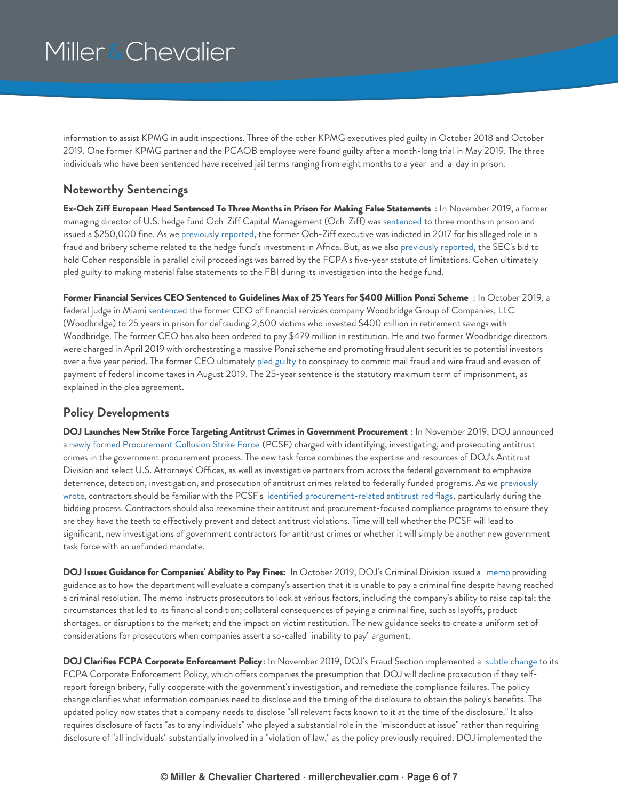information to assist KPMG in audit inspections. Three of the other KPMG executives pled guilty in October 2018 and October 2019. One former KPMG partner and the PCAOB employee were found guilty after a month-long trial in May 2019. The three individuals who have been sentenced have received jail terms ranging from eight months to a year-and-a-day in prison.

### <span id="page-5-0"></span>**Noteworthy Sentencings**

**Ex-Och Ziff European Head Sentenced To Three Months in Prison for Making False Statements** : In November 2019, a former managing director of U.S. hedge fund Och-Ziff Capital Management (Och-Ziff) was [sentenced](https://millerchevalier.com/sites/default/files/resources/ExecsAtRisk/EARWinter2020_Cohen-Judgment.pdf) to three months in prison and issued a \$250,000 fine. As we [previously](https://www.millerchevalier.com/publication/executives-risk-winter-2018) reported, the former Och-Ziff executive was indicted in 2017 for his alleged role in a fraud and bribery scheme related to the hedge fund's investment in Africa. But, as we also [previously](https://www.millerchevalier.com/publication/executives-risk-fall-2018) reported, the SEC's bid to hold Cohen responsible in parallel civil proceedings was barred by the FCPA's five-year statute of limitations. Cohen ultimately pled guilty to making material false statements to the FBI during its investigation into the hedge fund.

Former Financial Services CEO Sentenced to Guidelines Max of 25 Years for \$400 Million Ponzi Scheme: In October 2019, a federal judge in Miami [sentenced](https://millerchevalier.com/sites/default/files/resources/ExecsAtRisk/EARWinter2020_Shapiro-Judgment.pdf) the former CEO of financial services company Woodbridge Group of Companies, LLC (Woodbridge) to 25 years in prison for defrauding 2,600 victims who invested \$400 million in retirement savings with Woodbridge. The former CEO has also been ordered to pay \$479 million in restitution. He and two former Woodbridge directors were charged in April 2019 with orchestrating a massive Ponzi scheme and promoting fraudulent securities to potential investors over a five year period. The former CEO ultimately pled [guilty](https://millerchevalier.com/sites/default/files/resources/ExecsAtRisk/EARWinter2020_Shapiro-Plea.pdf) to conspiracy to commit mail fraud and wire fraud and evasion of payment of federal income taxes in August 2019. The 25-year sentence is the statutory maximum term of imprisonment, as explained in the plea agreement.

### <span id="page-5-1"></span>**Policy Developments**

<span id="page-5-2"></span>**DOJ Launches New Strike Force Targeting Antitrust Crimes in Government Procurement** : In November 2019, DOJ announced a newly formed [Procurement](https://www.justice.gov/opa/pr/justice-department-announces-procurement-collusion-strike-force-coordinated-national-response) Collusion Strike Force (PCSF) charged with identifying, investigating, and prosecuting antitrust crimes in the government procurement process. The new task force combines the expertise and resources of DOJ's Antitrust Division and select U.S. Attorneys' Offices, as well as investigative partners from across the federal government to emphasize deterrence, detection, investigation, and prosecution of antitrust crimes related to federally funded programs. As we previously wrote, contractors should be familiar with the PCSF's identified [procurement-related](https://www.millerchevalier.com/publication/doj-launches-strike-force-targeting-antitrust-crimes-government-procurements) antitrust red flags, particularly during the bidding process. Contractors should also reexamine their antitrust and procurement-focused compliance programs to ensure they are they have the teeth to effectively prevent and detect antitrust violations. Time will tell whether the PCSF will lead to significant, new investigations of government contractors for antitrust crimes or whether it will simply be another new government task force with an unfunded mandate.

**DOJ Issues Guidance for Companies' Ability to Pay Fines:** In October 2019, DOJ's Criminal Division issued a [memo](https://www.justice.gov/opa/speech/file/1207576/download) providing guidance as to how the department will evaluate a company's assertion that it is unable to pay a criminal fine despite having reached a criminal resolution. The memo instructs prosecutors to look at various factors, including the company's ability to raise capital; the circumstances that led to its financial condition; collateral consequences of paying a criminal fine, such as layoffs, product shortages, or disruptions to the market; and the impact on victim restitution. The new guidance seeks to create a uniform set of considerations for prosecutors when companies assert a so-called "inability to pay" argument.

**DOJ Clarifies FCPA Corporate Enforcement Policy** : In November 2019, DOJ's Fraud Section implemented a subtle [change](https://www.justice.gov/jm/jm-9-47000-foreign-corrupt-practices-act-1977) to its FCPA Corporate Enforcement Policy, which offers companies the presumption that DOJ will decline prosecution if they selfreport foreign bribery, fully cooperate with the government's investigation, and remediate the compliance failures. The policy change clarifies what information companies need to disclose and the timing of the disclosure to obtain the policy's benefits. The updated policy now states that a company needs to disclose "all relevant facts known to it at the time of the disclosure." It also requires disclosure of facts "as to any individuals" who played a substantial role in the "misconduct at issue" rather than requiring disclosure of "all individuals" substantially involved in a "violation of law," as the policy previously required. DOJ implemented the